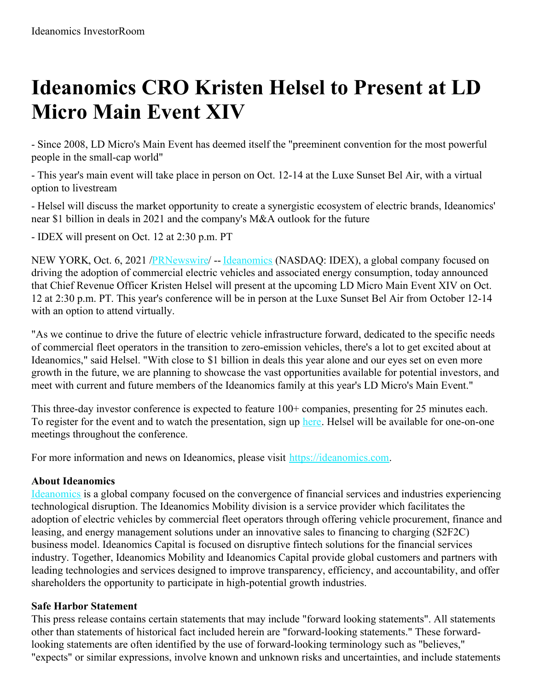## **Ideanomics CRO Kristen Helsel to Present at LD Micro Main Event XIV**

- Since 2008, LD Micro's Main Event has deemed itself the "preeminent convention for the most powerful people in the small-cap world"

- This year's main event will take place in person on Oct. 12-14 at the Luxe Sunset Bel Air, with a virtual option to livestream

- Helsel will discuss the market opportunity to create a synergistic ecosystem of electric brands, Ideanomics' near \$1 billion in deals in 2021 and the company's M&A outlook for the future

- IDEX will present on Oct. 12 at 2:30 p.m. PT

NEW YORK, Oct. 6, 2021 [/PRNewswire/](http://www.prnewswire.com/) -- [Ideanomics](https://c212.net/c/link/?t=0&l=en&o=3314178-1&h=2175422742&u=https%3A%2F%2Fideanomics.com%2F&a=Ideanomics) (NASDAQ: IDEX), a global company focused on driving the adoption of commercial electric vehicles and associated energy consumption, today announced that Chief Revenue Officer Kristen Helsel will present at the upcoming LD Micro Main Event XIV on Oct. 12 at 2:30 p.m. PT. This year's conference will be in person at the Luxe Sunset Bel Air from October 12-14 with an option to attend virtually.

"As we continue to drive the future of electric vehicle infrastructure forward, dedicated to the specific needs of commercial fleet operators in the transition to zero-emission vehicles, there's a lot to get excited about at Ideanomics," said Helsel. "With close to \$1 billion in deals this year alone and our eyes set on even more growth in the future, we are planning to showcase the vast opportunities available for potential investors, and meet with current and future members of the Ideanomics family at this year's LD Micro's Main Event."

This three-day investor conference is expected to feature 100+ companies, presenting for 25 minutes each. To register for the event and to watch the presentation, sign up [here](https://c212.net/c/link/?t=0&l=en&o=3314178-1&h=70791628&u=https%3A%2F%2Fme21.mysequire.com%2F&a=here). Helsel will be available for one-on-one meetings throughout the conference.

For more information and news on Ideanomics, please visit [https://ideanomics.com](https://c212.net/c/link/?t=0&l=en&o=3314178-1&h=1415457318&u=https%3A%2F%2Fc212.net%2Fc%2Flink%2F%3Ft%3D0%26l%3Den%26o%3D3282637-1%26h%3D2485889729%26u%3Dhttps%253A%252F%252Fideanomics.com%252F%26a%3Dhttps%253A%252F%252Fideanomics.com&a=https%3A%2F%2Fideanomics.com).

## **About Ideanomics**

[Ideanomics](https://c212.net/c/link/?t=0&l=en&o=3314178-1&h=205631784&u=https%3A%2F%2Fc212.net%2Fc%2Flink%2F%3Ft%3D0%26l%3Den%26o%3D3282637-1%26h%3D1291802047%26u%3Dhttps%253A%252F%252Fideanomics.com%252F%26a%3DIdeanomics&a=Ideanomics) is a global company focused on the convergence of financial services and industries experiencing technological disruption. The Ideanomics Mobility division is a service provider which facilitates the adoption of electric vehicles by commercial fleet operators through offering vehicle procurement, finance and leasing, and energy management solutions under an innovative sales to financing to charging (S2F2C) business model. Ideanomics Capital is focused on disruptive fintech solutions for the financial services industry. Together, Ideanomics Mobility and Ideanomics Capital provide global customers and partners with leading technologies and services designed to improve transparency, efficiency, and accountability, and offer shareholders the opportunity to participate in high-potential growth industries.

## **Safe Harbor Statement**

This press release contains certain statements that may include "forward looking statements". All statements other than statements of historical fact included herein are "forward-looking statements." These forwardlooking statements are often identified by the use of forward-looking terminology such as "believes," "expects" or similar expressions, involve known and unknown risks and uncertainties, and include statements